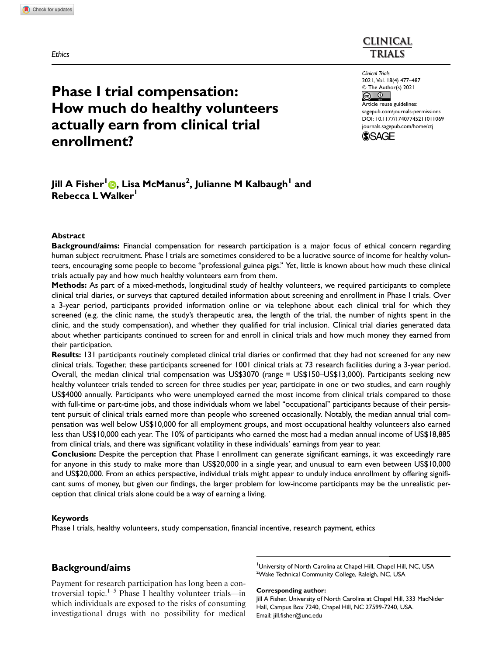**Ethics** 

# **CLINICAL TRIALS**

Clinical Trials 2021, Vol. 18(4) 477–487 © The Author(s) 2021  $\frac{1}{\sqrt{2}}$ 

Article reuse guidelines: [sagepub.com/journals-permissions](https://uk.sagepub.com/en-gb/journals-permissions) [DOI: 10.1177/17407745211011069](https://doi.org/10.1177/17407745211011069) <journals.sagepub.com/home/ctj>



# enrollment?

Jill A Fisher<sup>l</sup>®, Lisa McManus<sup>2</sup>, Julianne M Kalbaugh<sup>l</sup> and

How much do healthy volunteers

actually earn from clinical trial

Phase I trial compensation:

# Abstract

Rebecca L Walker

Background/aims: Financial compensation for research participation is a major focus of ethical concern regarding human subject recruitment. Phase I trials are sometimes considered to be a lucrative source of income for healthy volunteers, encouraging some people to become ''professional guinea pigs.'' Yet, little is known about how much these clinical trials actually pay and how much healthy volunteers earn from them.

Methods: As part of a mixed-methods, longitudinal study of healthy volunteers, we required participants to complete clinical trial diaries, or surveys that captured detailed information about screening and enrollment in Phase I trials. Over a 3-year period, participants provided information online or via telephone about each clinical trial for which they screened (e.g. the clinic name, the study's therapeutic area, the length of the trial, the number of nights spent in the clinic, and the study compensation), and whether they qualified for trial inclusion. Clinical trial diaries generated data about whether participants continued to screen for and enroll in clinical trials and how much money they earned from their participation.

Results: 131 participants routinely completed clinical trial diaries or confirmed that they had not screened for any new clinical trials. Together, these participants screened for 1001 clinical trials at 73 research facilities during a 3-year period. Overall, the median clinical trial compensation was US\$3070 (range = US\$150–US\$13,000). Participants seeking new healthy volunteer trials tended to screen for three studies per year, participate in one or two studies, and earn roughly US\$4000 annually. Participants who were unemployed earned the most income from clinical trials compared to those with full-time or part-time jobs, and those individuals whom we label ''occupational'' participants because of their persistent pursuit of clinical trials earned more than people who screened occasionally. Notably, the median annual trial compensation was well below US\$10,000 for all employment groups, and most occupational healthy volunteers also earned less than US\$10,000 each year. The 10% of participants who earned the most had a median annual income of US\$18,885 from clinical trials, and there was significant volatility in these individuals' earnings from year to year.

Conclusion: Despite the perception that Phase I enrollment can generate significant earnings, it was exceedingly rare for anyone in this study to make more than US\$20,000 in a single year, and unusual to earn even between US\$10,000 and US\$20,000. From an ethics perspective, individual trials might appear to unduly induce enrollment by offering significant sums of money, but given our findings, the larger problem for low-income participants may be the unrealistic perception that clinical trials alone could be a way of earning a living.

#### Keywords

Phase I trials, healthy volunteers, study compensation, financial incentive, research payment, ethics

# Background/aims

Payment for research participation has long been a controversial topic.<sup>1–5</sup> Phase I healthy volunteer trials—in which individuals are exposed to the risks of consuming investigational drugs with no possibility for medical

<sup>1</sup>University of North Carolina at Chapel Hill, Chapel Hill, NC, USA <sup>2</sup>Wake Technical Community College, Raleigh, NC, USA

Corresponding author:

Jill A Fisher, University of North Carolina at Chapel Hill, 333 MacNider Hall, Campus Box 7240, Chapel Hill, NC 27599-7240, USA. Email: jill.fisher@unc.edu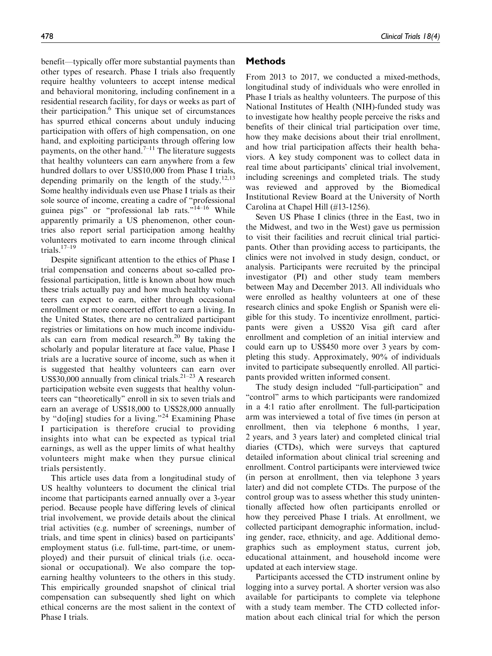benefit—typically offer more substantial payments than other types of research. Phase I trials also frequently require healthy volunteers to accept intense medical and behavioral monitoring, including confinement in a residential research facility, for days or weeks as part of their participation.<sup>6</sup> This unique set of circumstances has spurred ethical concerns about unduly inducing participation with offers of high compensation, on one hand, and exploiting participants through offering low payments, on the other hand.<sup>7–11</sup> The literature suggests that healthy volunteers can earn anywhere from a few hundred dollars to over US\$10,000 from Phase I trials, depending primarily on the length of the study.<sup>12,13</sup> Some healthy individuals even use Phase I trials as their sole source of income, creating a cadre of ''professional guinea pigs" or "professional lab rats."<sup>14–16</sup> While apparently primarily a US phenomenon, other countries also report serial participation among healthy volunteers motivated to earn income through clinical trials.17–19

Despite significant attention to the ethics of Phase I trial compensation and concerns about so-called professional participation, little is known about how much these trials actually pay and how much healthy volunteers can expect to earn, either through occasional enrollment or more concerted effort to earn a living. In the United States, there are no centralized participant registries or limitations on how much income individuals can earn from medical research.<sup>20</sup> By taking the scholarly and popular literature at face value, Phase I trials are a lucrative source of income, such as when it is suggested that healthy volunteers can earn over US\$30,000 annually from clinical trials.<sup>21-23</sup> A research participation website even suggests that healthy volunteers can ''theoretically'' enroll in six to seven trials and earn an average of US\$18,000 to US\$28,000 annually by "do[ing] studies for a living."<sup>24</sup> Examining Phase I participation is therefore crucial to providing insights into what can be expected as typical trial earnings, as well as the upper limits of what healthy volunteers might make when they pursue clinical trials persistently.

This article uses data from a longitudinal study of US healthy volunteers to document the clinical trial income that participants earned annually over a 3-year period. Because people have differing levels of clinical trial involvement, we provide details about the clinical trial activities (e.g. number of screenings, number of trials, and time spent in clinics) based on participants' employment status (i.e. full-time, part-time, or unemployed) and their pursuit of clinical trials (i.e. occasional or occupational). We also compare the topearning healthy volunteers to the others in this study. This empirically grounded snapshot of clinical trial compensation can subsequently shed light on which ethical concerns are the most salient in the context of Phase I trials.

# Methods

From 2013 to 2017, we conducted a mixed-methods, longitudinal study of individuals who were enrolled in Phase I trials as healthy volunteers. The purpose of this National Institutes of Health (NIH)-funded study was to investigate how healthy people perceive the risks and benefits of their clinical trial participation over time, how they make decisions about their trial enrollment, and how trial participation affects their health behaviors. A key study component was to collect data in real time about participants' clinical trial involvement, including screenings and completed trials. The study was reviewed and approved by the Biomedical Institutional Review Board at the University of North Carolina at Chapel Hill (#13-1256).

Seven US Phase I clinics (three in the East, two in the Midwest, and two in the West) gave us permission to visit their facilities and recruit clinical trial participants. Other than providing access to participants, the clinics were not involved in study design, conduct, or analysis. Participants were recruited by the principal investigator (PI) and other study team members between May and December 2013. All individuals who were enrolled as healthy volunteers at one of these research clinics and spoke English or Spanish were eligible for this study. To incentivize enrollment, participants were given a US\$20 Visa gift card after enrollment and completion of an initial interview and could earn up to US\$450 more over 3 years by completing this study. Approximately, 90% of individuals invited to participate subsequently enrolled. All participants provided written informed consent.

The study design included "full-participation" and "control" arms to which participants were randomized in a 4:1 ratio after enrollment. The full-participation arm was interviewed a total of five times (in person at enrollment, then via telephone 6 months, 1 year, 2 years, and 3 years later) and completed clinical trial diaries (CTDs), which were surveys that captured detailed information about clinical trial screening and enrollment. Control participants were interviewed twice (in person at enrollment, then via telephone 3 years later) and did not complete CTDs. The purpose of the control group was to assess whether this study unintentionally affected how often participants enrolled or how they perceived Phase I trials. At enrollment, we collected participant demographic information, including gender, race, ethnicity, and age. Additional demographics such as employment status, current job, educational attainment, and household income were updated at each interview stage.

Participants accessed the CTD instrument online by logging into a survey portal. A shorter version was also available for participants to complete via telephone with a study team member. The CTD collected information about each clinical trial for which the person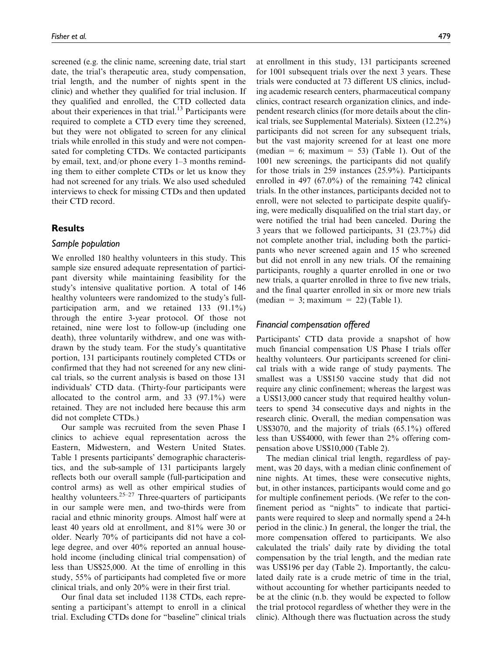screened (e.g. the clinic name, screening date, trial start date, the trial's therapeutic area, study compensation, trial length, and the number of nights spent in the clinic) and whether they qualified for trial inclusion. If they qualified and enrolled, the CTD collected data about their experiences in that trial. $13$  Participants were required to complete a CTD every time they screened, but they were not obligated to screen for any clinical trials while enrolled in this study and were not compensated for completing CTDs. We contacted participants by email, text, and/or phone every 1–3 months reminding them to either complete CTDs or let us know they had not screened for any trials. We also used scheduled interviews to check for missing CTDs and then updated their CTD record.

## Results

### Sample population

We enrolled 180 healthy volunteers in this study. This sample size ensured adequate representation of participant diversity while maintaining feasibility for the study's intensive qualitative portion. A total of 146 healthy volunteers were randomized to the study's fullparticipation arm, and we retained 133 (91.1%) through the entire 3-year protocol. Of those not retained, nine were lost to follow-up (including one death), three voluntarily withdrew, and one was withdrawn by the study team. For the study's quantitative portion, 131 participants routinely completed CTDs or confirmed that they had not screened for any new clinical trials, so the current analysis is based on those 131 individuals' CTD data. (Thirty-four participants were allocated to the control arm, and  $33$  (97.1%) were retained. They are not included here because this arm did not complete CTDs.)

Our sample was recruited from the seven Phase I clinics to achieve equal representation across the Eastern, Midwestern, and Western United States. Table 1 presents participants' demographic characteristics, and the sub-sample of 131 participants largely reflects both our overall sample (full-participation and control arms) as well as other empirical studies of healthy volunteers. $25-27$  Three-quarters of participants in our sample were men, and two-thirds were from racial and ethnic minority groups. Almost half were at least 40 years old at enrollment, and 81% were 30 or older. Nearly 70% of participants did not have a college degree, and over 40% reported an annual household income (including clinical trial compensation) of less than US\$25,000. At the time of enrolling in this study, 55% of participants had completed five or more clinical trials, and only 20% were in their first trial.

Our final data set included 1138 CTDs, each representing a participant's attempt to enroll in a clinical trial. Excluding CTDs done for ''baseline'' clinical trials at enrollment in this study, 131 participants screened for 1001 subsequent trials over the next 3 years. These trials were conducted at 73 different US clinics, including academic research centers, pharmaceutical company clinics, contract research organization clinics, and independent research clinics (for more details about the clinical trials, see Supplemental Materials). Sixteen (12.2%) participants did not screen for any subsequent trials, but the vast majority screened for at least one more (median = 6; maximum = 53) (Table 1). Out of the 1001 new screenings, the participants did not qualify for those trials in 259 instances (25.9%). Participants enrolled in 497 (67.0%) of the remaining 742 clinical trials. In the other instances, participants decided not to enroll, were not selected to participate despite qualifying, were medically disqualified on the trial start day, or were notified the trial had been canceled. During the 3 years that we followed participants, 31 (23.7%) did not complete another trial, including both the participants who never screened again and 15 who screened but did not enroll in any new trials. Of the remaining participants, roughly a quarter enrolled in one or two new trials, a quarter enrolled in three to five new trials,

### Financial compensation offered

 $(\text{median} = 3; \text{maximum} = 22)$  (Table 1).

Participants' CTD data provide a snapshot of how much financial compensation US Phase I trials offer healthy volunteers. Our participants screened for clinical trials with a wide range of study payments. The smallest was a US\$150 vaccine study that did not require any clinic confinement; whereas the largest was a US\$13,000 cancer study that required healthy volunteers to spend 34 consecutive days and nights in the research clinic. Overall, the median compensation was US\$3070, and the majority of trials (65.1%) offered less than US\$4000, with fewer than 2% offering compensation above US\$10,000 (Table 2).

and the final quarter enrolled in six or more new trials

The median clinical trial length, regardless of payment, was 20 days, with a median clinic confinement of nine nights. At times, these were consecutive nights, but, in other instances, participants would come and go for multiple confinement periods. (We refer to the confinement period as ''nights'' to indicate that participants were required to sleep and normally spend a 24-h period in the clinic.) In general, the longer the trial, the more compensation offered to participants. We also calculated the trials' daily rate by dividing the total compensation by the trial length, and the median rate was US\$196 per day (Table 2). Importantly, the calculated daily rate is a crude metric of time in the trial, without accounting for whether participants needed to be at the clinic (n.b. they would be expected to follow the trial protocol regardless of whether they were in the clinic). Although there was fluctuation across the study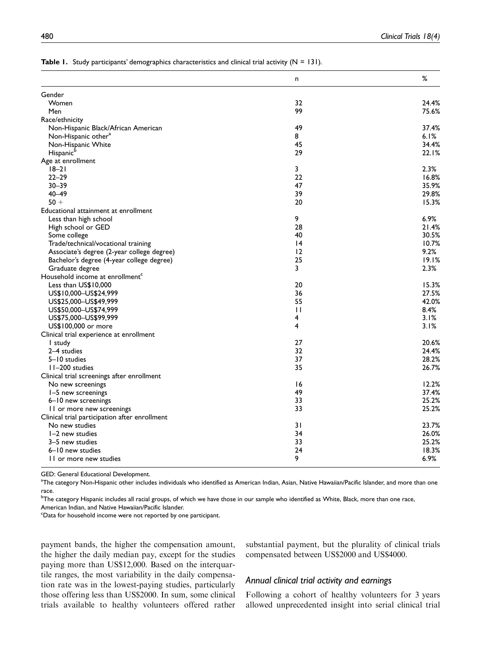|                                               | n            | %     |
|-----------------------------------------------|--------------|-------|
| Gender                                        |              |       |
| Women                                         | 32           | 24.4% |
| Men                                           | 99           | 75.6% |
| Race/ethnicity                                |              |       |
| Non-Hispanic Black/African American           | 49           | 37.4% |
| Non-Hispanic other <sup>a</sup>               | 8            | 6.1%  |
| Non-Hispanic White                            | 45           | 34.4% |
| Hispanic <sup>b</sup>                         | 29           | 22.1% |
| Age at enrollment                             |              |       |
| $18 - 21$                                     | 3            | 2.3%  |
| $22 - 29$                                     | 22           | 16.8% |
| $30 - 39$                                     | 47           | 35.9% |
| $40 - 49$                                     | 39           | 29.8% |
| $50 +$                                        | 20           | 15.3% |
| Educational attainment at enrollment          |              |       |
| Less than high school                         | 9            | 6.9%  |
| High school or GED                            | 28           | 21.4% |
| Some college                                  | 40           | 30.5% |
| Trade/technical/vocational training           | 4            | 10.7% |
| Associate's degree (2-year college degree)    | 12           | 9.2%  |
| Bachelor's degree (4-year college degree)     | 25           | 19.1% |
| Graduate degree                               | 3            | 2.3%  |
| Household income at enrollment <sup>c</sup>   |              |       |
| Less than US\$10,000                          | 20           | 15.3% |
| US\$10,000-US\$24,999                         | 36           | 27.5% |
| US\$25,000-US\$49,999                         | 55           | 42.0% |
| US\$50,000-US\$74,999                         | $\mathbf{H}$ | 8.4%  |
| US\$75,000-US\$99,999                         | 4            | 3.1%  |
| US\$100,000 or more                           | 4            | 3.1%  |
| Clinical trial experience at enrollment       |              |       |
| I study                                       | 27           | 20.6% |
| 2-4 studies                                   | 32           | 24.4% |
| 5-10 studies                                  | 37           | 28.2% |
| II-200 studies                                | 35           | 26.7% |
| Clinical trial screenings after enrollment    |              |       |
| No new screenings                             | 16           | 12.2% |
|                                               | 49           | 37.4% |
| 1-5 new screenings                            | 33           | 25.2% |
| 6-10 new screenings                           | 33           |       |
| II or more new screenings                     |              | 25.2% |
| Clinical trial participation after enrollment |              |       |
| No new studies                                | 31           | 23.7% |
| 1-2 new studies                               | 34           | 26.0% |
| 3-5 new studies                               | 33           | 25.2% |
| 6-10 new studies                              | 24           | 18.3% |
| 11 or more new studies                        | 9            | 6.9%  |

|  | <b>Table 1.</b> Study participants' demographics characteristics and clinical trial activity ( $N = 131$ ). |  |  |  |  |  |
|--|-------------------------------------------------------------------------------------------------------------|--|--|--|--|--|
|--|-------------------------------------------------------------------------------------------------------------|--|--|--|--|--|

GED: General Educational Development.

<sup>a</sup>The category Non-Hispanic other includes individuals who identified as American Indian, Asian, Native Hawaiian/Pacific Islander, and more than one race.

<sup>b</sup>The category Hispanic includes all racial groups, of which we have those in our sample who identified as White, Black, more than one race, American Indian, and Native Hawaiian/Pacific Islander.

<sup>c</sup>Data for household income were not reported by one participant.

payment bands, the higher the compensation amount, the higher the daily median pay, except for the studies paying more than US\$12,000. Based on the interquartile ranges, the most variability in the daily compensation rate was in the lowest-paying studies, particularly those offering less than US\$2000. In sum, some clinical trials available to healthy volunteers offered rather substantial payment, but the plurality of clinical trials compensated between US\$2000 and US\$4000.

### Annual clinical trial activity and earnings

Following a cohort of healthy volunteers for 3 years allowed unprecedented insight into serial clinical trial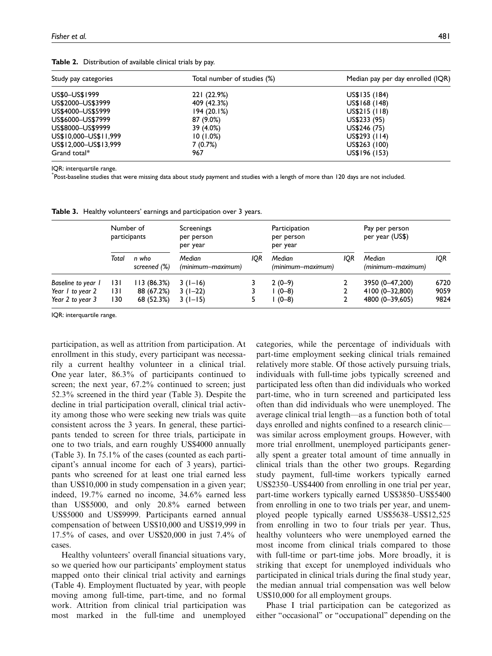| Study pay categories  | Total number of studies (%) | Median pay per day enrolled (IQR) |
|-----------------------|-----------------------------|-----------------------------------|
| US\$0-US\$1999        | 221 (22.9%)                 | US\$135 (184)                     |
| US\$2000-US\$3999     | 409 (42.3%)                 | US\$168 (148)                     |
| US\$4000-US\$5999     | 194(20.1%)                  | US\$215 (118)                     |
| US\$6000-US\$7999     | 87 (9.0%)                   | US\$233 (95)                      |
| US\$8000-US\$9999     | 39 (4.0%)                   | US\$246 (75)                      |
| US\$10,000-US\$11,999 | 10(1.0%)                    | $US$293$ (114)                    |
| US\$12,000-US\$13,999 | 7(0.7%)                     | US\$263 (100)                     |
| Grand total*          | 967                         | US\$196 (153)                     |

Table 2. Distribution of available clinical trials by pay.

IQR: interquartile range.

\* Post-baseline studies that were missing data about study payment and studies with a length of more than 120 days are not included.

Table 3. Healthy volunteers' earnings and participation over 3 years.

|                                                            | Number of<br>participants |                                         | Screenings<br>per person<br>per year |     | Participation<br>per person<br>per year |     | Pay per person<br>per year (US\$)                     |                      |
|------------------------------------------------------------|---------------------------|-----------------------------------------|--------------------------------------|-----|-----------------------------------------|-----|-------------------------------------------------------|----------------------|
|                                                            | Total                     | n who<br>screened (%)                   | Median<br>(minimum-maximum)          | IQR | Median<br>(minimum-maximum)             | IQR | Median<br>(minimum-maximum)                           | IQR                  |
| Baseline to year 1<br>Year 1 to year 2<br>Year 2 to year 3 | 131<br>131<br>130         | 113 (86.3%)<br>88 (67.2%)<br>68 (52.3%) | $3(1-16)$<br>$3(1-22)$<br>$3(1-15)$  |     | $2(0-9)$<br>$(0 - 8)$<br>$(0 - 8)$      |     | 3950 (0-47,200)<br>4100 (0-32,800)<br>4800 (0-39,605) | 6720<br>9059<br>9824 |

IQR: interquartile range.

participation, as well as attrition from participation. At enrollment in this study, every participant was necessarily a current healthy volunteer in a clinical trial. One year later, 86.3% of participants continued to screen; the next year,  $67.2\%$  continued to screen; just 52.3% screened in the third year (Table 3). Despite the decline in trial participation overall, clinical trial activity among those who were seeking new trials was quite consistent across the 3 years. In general, these participants tended to screen for three trials, participate in one to two trials, and earn roughly US\$4000 annually (Table 3). In 75.1% of the cases (counted as each participant's annual income for each of 3 years), participants who screened for at least one trial earned less than US\$10,000 in study compensation in a given year; indeed, 19.7% earned no income, 34.6% earned less than US\$5000, and only 20.8% earned between US\$5000 and US\$9999. Participants earned annual compensation of between US\$10,000 and US\$19,999 in 17.5% of cases, and over US\$20,000 in just 7.4% of cases.

Healthy volunteers' overall financial situations vary, so we queried how our participants' employment status mapped onto their clinical trial activity and earnings (Table 4). Employment fluctuated by year, with people moving among full-time, part-time, and no formal work. Attrition from clinical trial participation was most marked in the full-time and unemployed categories, while the percentage of individuals with part-time employment seeking clinical trials remained relatively more stable. Of those actively pursuing trials, individuals with full-time jobs typically screened and participated less often than did individuals who worked part-time, who in turn screened and participated less often than did individuals who were unemployed. The average clinical trial length—as a function both of total days enrolled and nights confined to a research clinic was similar across employment groups. However, with more trial enrollment, unemployed participants generally spent a greater total amount of time annually in clinical trials than the other two groups. Regarding study payment, full-time workers typically earned US\$2350–US\$4400 from enrolling in one trial per year, part-time workers typically earned US\$3850–US\$5400 from enrolling in one to two trials per year, and unemployed people typically earned US\$5638–US\$12,525 from enrolling in two to four trials per year. Thus, healthy volunteers who were unemployed earned the most income from clinical trials compared to those with full-time or part-time jobs. More broadly, it is striking that except for unemployed individuals who participated in clinical trials during the final study year, the median annual trial compensation was well below US\$10,000 for all employment groups.

Phase I trial participation can be categorized as either "occasional" or "occupational" depending on the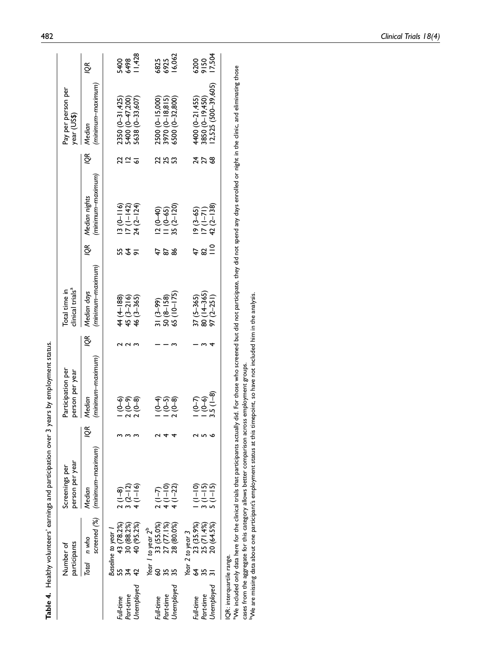|                           |                |                                  | Table 4. Healthy volunteers' earnings and participation over 3 |     | years by employment status.          |    |                                                    |               |                                                                                   |                 |                                                           |              |
|---------------------------|----------------|----------------------------------|----------------------------------------------------------------|-----|--------------------------------------|----|----------------------------------------------------|---------------|-----------------------------------------------------------------------------------|-----------------|-----------------------------------------------------------|--------------|
|                           |                | participants<br>Number of        | person per year<br>Screenings per                              |     | Participation per<br>person per year |    | clinical trials <sup>a</sup><br>Total time in      |               |                                                                                   |                 | Pay per person per<br>year (US\$)                         |              |
|                           |                | screened (%)<br>Total n who      | (minimum–maximum)<br>Median                                    | lQR | (minimum–maximum)<br>Median          | ιğ | (minimum-maximum)<br>Median days                   |               | (minimum–maximum)<br>IQR Median nights                                            | ιδ              | (minimum–maximum)<br>Median                               | ιěχ          |
| Full-time                 | 55             | 43 (78.2%)<br>Baseline to year 1 | $\frac{1}{2}$ (1-8)                                            |     |                                      |    |                                                    |               |                                                                                   | 22              |                                                           |              |
| Part-time                 |                | 30 (88.2%)                       | $3(2-12)$                                                      |     | (၁) ရက်<br>(၁) (၁)<br>– ၁ (၁)        |    | $44 (4 - 188)$<br>$45 (3 - 216)$<br>$46 (3 - 365)$ | 532           | $\begin{array}{c} 13 & (0 - 116) \\ 17 & (1 - 142) \\ 24 & (2 - 124) \end{array}$ |                 | 2350 (0-31,425)<br>5400 (0-47,200)<br>5638 (0-33,607)     | 5498<br>6498 |
| <b>Jnemployed</b>         | $\overline{4}$ | 40 (95.2%)                       | $4(1-16)$                                                      |     |                                      |    |                                                    |               |                                                                                   | ᢌ               |                                                           | 1,428        |
|                           |                | Year I to year 2 <sup>b</sup>    |                                                                |     |                                      |    |                                                    |               |                                                                                   |                 |                                                           |              |
| Part-time<br>Full-time    | SO             | 33 (55.0%)<br>27 (77.1%)         | $2(1-7)$<br>4(1-10)                                            |     |                                      |    |                                                    | 2             |                                                                                   |                 |                                                           | 6825<br>6925 |
| Jnemployed                | 35             | 28 (80.0%)                       | $4(1-22)$                                                      |     | နေ့<br>၁၀၀၀<br>– – ၁                 |    | $\frac{31(3-99)}{50(8-158)}$<br>50 (8-158)         | 86            | $\begin{array}{c} 12 (0 - 40) \\ 11 (0 - 65) \\ 35 (2 - 120) \end{array}$         |                 | 2500 (0-15,000)<br>3970 (0-18,815)<br>6500 (0-32,800)     | 6,062        |
|                           |                | Year 2 to year 3                 |                                                                |     |                                      |    |                                                    |               |                                                                                   |                 |                                                           |              |
| Full-time                 | $\mathcal{L}$  | 23 (35.9%)                       | $rac{1}{1}$                                                    |     |                                      |    |                                                    |               |                                                                                   |                 |                                                           |              |
| Part-time                 |                | 25 (71.4%)                       | $(1 - 15)$                                                     |     | 56<br>196                            |    | 37 (5–365)<br>80 (14–365)<br>97 (2–251)            | $\frac{2}{2}$ | $\frac{19(3-65)}{7(1-71)}$                                                        | $\frac{27}{68}$ |                                                           | 6200<br>9150 |
| Unemployed                |                | 20 (64.5%)                       | $5(1 - 15)$                                                    |     | $3.5(1-8)$                           |    |                                                    |               | $42(2 - 138)$                                                                     |                 | 4400 (0–21,455)<br>3850 (0–19,450)<br>12,525 (500–39,605) | 17,504       |
| IQR: interquartile range. |                |                                  |                                                                |     |                                      |    |                                                    |               |                                                                                   |                 |                                                           |              |

a We included only data here for the clinical trials that participants actually did. For those who screened but did not participate, they did not spend any days enrolled or night in the clinic, and eliminating those aWe included only data here for the clinical trials that participants actually did. For those who screened but did not participate, they did not spend any days enrolled or night in the clinic, and eliminating those cases from the aggregate for this category allows better comparison across employment groups.<br><sup>b</sup>We are missing data about one participant's employment status at this timepoint, so have not included him in the analysis. cases from the aggregate for this category allows better comparison across employment groups.

 $^{\rm b}$ We are missing data about one participant's employment status at this timepoint, so have not included him in the analysis.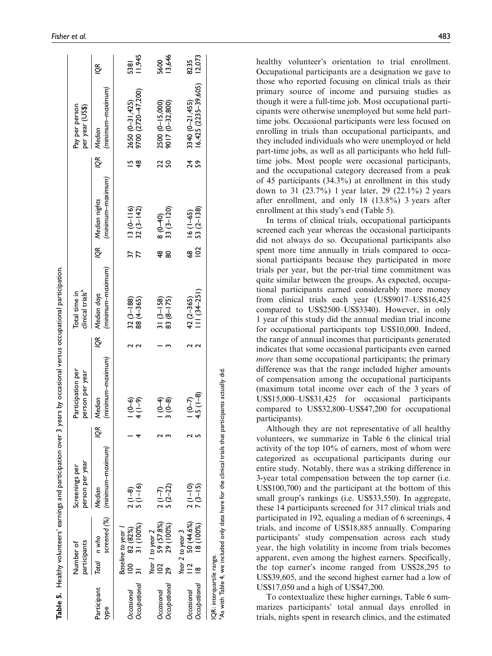|                            |                      | participants<br>Number of                                                                | person per year<br>Screenings per                                                                                |    | Participation per<br>person per year                                |   | clinical trials <sup>a</sup><br>Total time in |                            |                                                                         |                    | Pay per person<br>per year (US\$)       |                |
|----------------------------|----------------------|------------------------------------------------------------------------------------------|------------------------------------------------------------------------------------------------------------------|----|---------------------------------------------------------------------|---|-----------------------------------------------|----------------------------|-------------------------------------------------------------------------|--------------------|-----------------------------------------|----------------|
| Participant<br>type        |                      | Total n who                                                                              | screened (%) (minimum-maximum)<br>Median                                                                         | QR | (minimum–maximum)<br>Median                                         | ğ | (minimum–maximum)<br>Median days              |                            | (minimum-maximum)<br>IQR Median nights                                  | Š                  | (minimum-maximum)<br>Median             | g              |
| Occupational<br>Occasional |                      | $\begin{bmatrix} 100 & 82 & (82%) \\ 31 & 31 & (100%) \end{bmatrix}$<br>Baseline to year | $5(1-16)$<br>$2(1-8)$                                                                                            |    | (၁၂)<br> -<br>  4                                                   |   | $32(3-188)$<br>$88(4-365)$                    | $\overline{\overline{37}}$ | $\frac{13(0-116)}{32(3-142)}$                                           | Ľ<br>$\frac{8}{3}$ | 2650 (0-31,425)<br>9700 (2720-47,200)   | 1,945<br>5381  |
| Occupational<br>Occasional | $\overline{2}$<br>29 | 59 (57.8%)<br>29 (100%)<br>Year I to year 2                                              | $5(2-22)$<br>$2(1-7)$                                                                                            |    | $\begin{array}{c}\n\uparrow \circ \\ 0 \\ \circ \circ\n\end{array}$ |   | $83(8-175)$<br>$31(3-158)$                    | 48<br>8                    | $\frac{8(0-40)}{33(3-120)}$                                             | 22<br>SO,          | 2500 (0-15,000)<br>9017 (0-32,800)      | 13,646<br>5600 |
| Occupational<br>Occasional | $\frac{2}{1}$        | 50 (44.6%)<br>18 (100%)<br>Year 2 to year 3                                              | $2(1-10)$<br>$7(3-15)$                                                                                           |    | $1(0-7)$<br>4.5 (1-8)                                               |   | 42 (2–365)<br>III (34–251)                    |                            | $\begin{array}{cc}\n 68 & 16 (1-65) \\  102 & 53 (2-138)\n \end{array}$ | 24<br>S9           | 3340 (0–21,455)<br>16,425 (2235–39,605) | 12,073<br>8235 |
| IQR: interquartile range.  |                      |                                                                                          | <sup>a</sup> As with Table 4, we included only data here for the clinical trials that participants actually did. |    |                                                                     |   |                                               |                            |                                                                         |                    |                                         |                |

healthy volunteer's orientation to trial enrollment. Occupational participants are a designation we gave to those who reported focusing on clinical trials as their primary source of income and pursuing studies as though it were a full-time job. Most occupational participants were otherwise unemployed but some held parttime jobs. Occasional participants were less focused on enrolling in trials than occupational participants, and they included individuals who were unemployed or held part-time jobs, as well as all participants who held fulltime jobs. Most people were occasional participants, and the occupational category decreased from a peak of 45 participants (34.3%) at enrollment in this study down to 31 (23.7%) 1 year later, 29 (22.1%) 2 years after enrollment, and only 18 (13.8%) 3 years after enrollment at this study's end (Table 5).

In terms of clinical trials, occupational participants screened each year whereas the occasional participants did not always do so. Occupational participants also spent more time annually in trials compared to occasional participants because they participated in more trials per year, but the per-trial time commitment was quite similar between the groups. As expected, occupational participants earned considerably more money from clinical trials each year (US\$9017–US\$16,425 compared to US\$2500–US\$3340). However, in only 1 year of this study did the annual median trial income for occupational participants top US\$10,000. Indeed, the range of annual incomes that participants generated indicates that some occasional participants even earned more than some occupational participants; the primary difference was that the range included higher amounts of compensation among the occupational participants (maximum total income over each of the 3 years of US\$15,000–US\$31,425 for occasional participants compared to US\$32,800–US\$47,200 for occupational participants).

Although they are not representative of all healthy volunteers, we summarize in Table 6 the clinical trial activity of the top 10% of earners, most of whom were categorized as occupational participants during our entire study. Notably, there was a striking difference in 3-year total compensation between the top earner (i.e. US\$100,700) and the participant at the bottom of this small group's rankings (i.e. US\$33,550). In aggregate, these 14 participants screened for 317 clinical trials and participated in 192, equaling a median of 6 screenings, 4 trials, and income of US\$18,885 annually. Comparing participants' study compensation across each study year, the high volatility in income from trials becomes apparent, even among the highest earners. Specifically, the top earner's income ranged from US\$28,295 to US\$39,605, and the second highest earner had a low of US\$17,050 and a high of US\$47,200.

To contextualize these higher earnings, Table 6 summarizes participants' total annual days enrolled in trials, nights spent in research clinics, and the estimated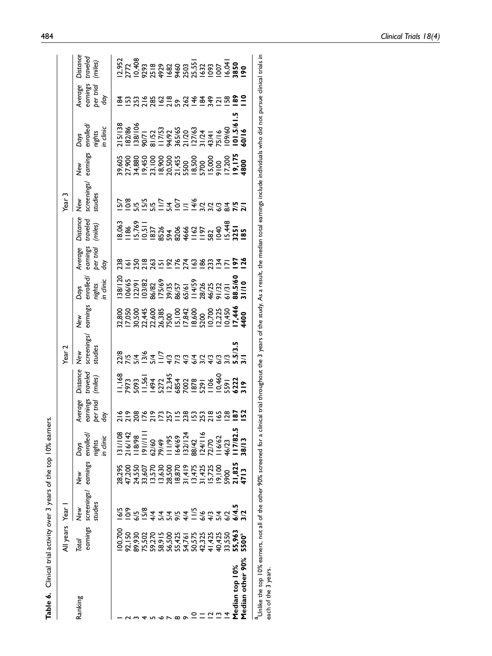|                  | Ill years       | Year                         |                 |                                       |                                              |                                                                                                                                                                                                     | fear <sub>2</sub>                                                                                                                                                                                                                                                              |                 |                                                                                                                       |                                         |                                 | ear <sub>3</sub>              |                 |                                          |                                         |                                 |
|------------------|-----------------|------------------------------|-----------------|---------------------------------------|----------------------------------------------|-----------------------------------------------------------------------------------------------------------------------------------------------------------------------------------------------------|--------------------------------------------------------------------------------------------------------------------------------------------------------------------------------------------------------------------------------------------------------------------------------|-----------------|-----------------------------------------------------------------------------------------------------------------------|-----------------------------------------|---------------------------------|-------------------------------|-----------------|------------------------------------------|-----------------------------------------|---------------------------------|
| Ranking          | earnings<br>rad | screenings/<br>studies<br>ye | earnings<br>New | enrolled<br>n dinic<br>arlgir<br>Days | <b>Iverage</b><br>sarnings<br>per trial<br>ğ | )istance<br>traveled<br>(miles)                                                                                                                                                                     | New<br>screenings/<br>studies                                                                                                                                                                                                                                                  | New<br>earnings | Days<br>enrolled,<br>nights<br>in clinic                                                                              | Average<br>earnings<br>per trial<br>day | Distance<br>traveled<br>(miles) | New<br>screenings/<br>studies | New<br>earnings | Days<br>enrolled/<br>nights<br>in clinic | Average<br>earnings<br>per trial<br>day | Distance<br>traveled<br>(miles) |
|                  | 00,700          |                              |                 | 31/108                                |                                              | $1.583\n1.593\n1.547\n1.547\n1.573\n1.573\n1.573\n1.573\n1.573\n1.583\n1.583\n1.583\n1.583\n1.583\n1.583\n1.583\n1.583\n1.583\n1.583\n1.583\n1.583\n1.583\n1.583\n1.583\n1.583\n1.583\n1.583\n1.58$ | $\begin{array}{l} 21.29 & 0.0000 \\ 0.0000 & 0.0000 \\ 0.0000 & 0.0000 \\ 0.0000 & 0.0000 \\ 0.0000 & 0.0000 \\ 0.0000 & 0.0000 \\ 0.0000 & 0.0000 \\ 0.0000 & 0.0000 \\ 0.0000 & 0.0000 \\ 0.0000 & 0.0000 \\ 0.0000 & 0.0000 \\ 0.0000 & 0.0000 \\ 0.0000 & 0.0000 \\ 0.000$ |                 | 138/12(<br>106/65<br>103/82<br>103/82 135/67<br>103/82 104/25<br>103/83/84/25<br>103 11/10 103/84<br>103 11/10 103/84 | 831083522538837520                      |                                 | 528<br>52852577777777778      |                 |                                          | 853283983348350881                      |                                 |
|                  |                 |                              |                 |                                       |                                              |                                                                                                                                                                                                     |                                                                                                                                                                                                                                                                                |                 |                                                                                                                       |                                         |                                 |                               |                 |                                          |                                         |                                 |
|                  |                 |                              |                 |                                       |                                              |                                                                                                                                                                                                     |                                                                                                                                                                                                                                                                                |                 |                                                                                                                       |                                         |                                 |                               |                 |                                          |                                         |                                 |
|                  |                 |                              |                 |                                       |                                              |                                                                                                                                                                                                     |                                                                                                                                                                                                                                                                                |                 |                                                                                                                       |                                         |                                 |                               |                 |                                          |                                         |                                 |
|                  |                 |                              |                 |                                       |                                              |                                                                                                                                                                                                     |                                                                                                                                                                                                                                                                                |                 |                                                                                                                       |                                         |                                 |                               |                 |                                          |                                         |                                 |
|                  |                 |                              |                 |                                       |                                              |                                                                                                                                                                                                     |                                                                                                                                                                                                                                                                                |                 |                                                                                                                       |                                         |                                 |                               |                 |                                          |                                         |                                 |
|                  |                 |                              |                 |                                       |                                              |                                                                                                                                                                                                     |                                                                                                                                                                                                                                                                                |                 |                                                                                                                       |                                         |                                 |                               |                 |                                          |                                         |                                 |
|                  |                 |                              |                 |                                       |                                              |                                                                                                                                                                                                     |                                                                                                                                                                                                                                                                                |                 |                                                                                                                       |                                         |                                 |                               |                 |                                          |                                         |                                 |
|                  |                 |                              |                 |                                       |                                              |                                                                                                                                                                                                     |                                                                                                                                                                                                                                                                                |                 |                                                                                                                       |                                         |                                 |                               |                 |                                          |                                         |                                 |
|                  |                 |                              |                 |                                       |                                              |                                                                                                                                                                                                     |                                                                                                                                                                                                                                                                                |                 |                                                                                                                       |                                         |                                 |                               |                 |                                          |                                         |                                 |
|                  |                 |                              |                 |                                       |                                              |                                                                                                                                                                                                     |                                                                                                                                                                                                                                                                                |                 |                                                                                                                       |                                         |                                 |                               |                 |                                          |                                         |                                 |
|                  |                 |                              |                 |                                       |                                              |                                                                                                                                                                                                     |                                                                                                                                                                                                                                                                                |                 |                                                                                                                       |                                         |                                 |                               |                 |                                          |                                         |                                 |
|                  |                 |                              |                 |                                       |                                              |                                                                                                                                                                                                     |                                                                                                                                                                                                                                                                                |                 |                                                                                                                       |                                         |                                 |                               |                 |                                          |                                         |                                 |
| Median top 10%   |                 |                              |                 |                                       |                                              |                                                                                                                                                                                                     |                                                                                                                                                                                                                                                                                |                 |                                                                                                                       |                                         |                                 |                               |                 |                                          |                                         |                                 |
| Median other 90% | $500^a$         |                              |                 |                                       |                                              |                                                                                                                                                                                                     |                                                                                                                                                                                                                                                                                |                 |                                                                                                                       |                                         |                                 |                               |                 |                                          |                                         |                                 |
|                  |                 |                              |                 |                                       |                                              |                                                                                                                                                                                                     |                                                                                                                                                                                                                                                                                |                 |                                                                                                                       |                                         |                                 |                               |                 |                                          |                                         |                                 |

a<br>Unlike the top 10% earners, not all of the other 90% screened for a clinical trial throughout the 3 years of the study. As a result, the median total earnings include individuals who did not pursue clinical trials in<br>eac  $^{\rm a}$ Unlike the top 10% earners, not all of the other 90% screened for a clinical trial throughout the 3 years of the study. As a result, the median total earnings include individuals who did not pursue clinical trials each of the 3 years.

Table 6. Clinical trial activity over 3 years of the top 10% earners.

Table 6. Clinical trial activity over 3 years of the top 10% earners.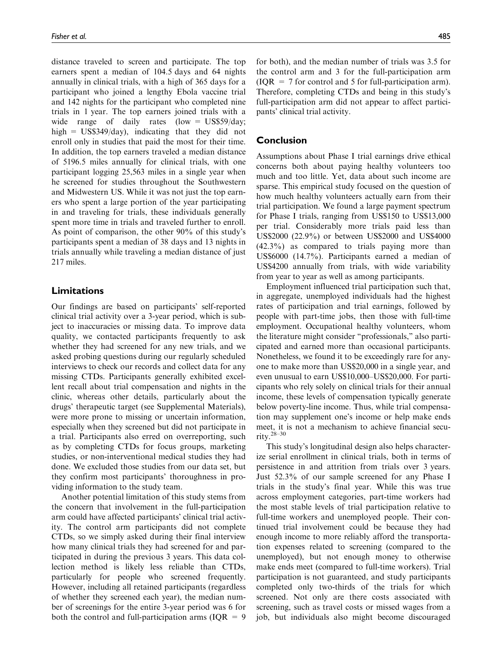distance traveled to screen and participate. The top earners spent a median of 104.5 days and 64 nights annually in clinical trials, with a high of 365 days for a participant who joined a lengthy Ebola vaccine trial and 142 nights for the participant who completed nine trials in 1 year. The top earners joined trials with a wide range of daily rates (low =  $\text{US}\$59/\text{day}$ ; high  $=$  US\$349/day), indicating that they did not enroll only in studies that paid the most for their time. In addition, the top earners traveled a median distance of 5196.5 miles annually for clinical trials, with one participant logging 25,563 miles in a single year when he screened for studies throughout the Southwestern and Midwestern US. While it was not just the top earners who spent a large portion of the year participating in and traveling for trials, these individuals generally spent more time in trials and traveled further to enroll. As point of comparison, the other 90% of this study's participants spent a median of 38 days and 13 nights in trials annually while traveling a median distance of just 217 miles.

### Limitations

Our findings are based on participants' self-reported clinical trial activity over a 3-year period, which is subject to inaccuracies or missing data. To improve data quality, we contacted participants frequently to ask whether they had screened for any new trials, and we asked probing questions during our regularly scheduled interviews to check our records and collect data for any missing CTDs. Participants generally exhibited excellent recall about trial compensation and nights in the clinic, whereas other details, particularly about the drugs' therapeutic target (see Supplemental Materials), were more prone to missing or uncertain information, especially when they screened but did not participate in a trial. Participants also erred on overreporting, such as by completing CTDs for focus groups, marketing studies, or non-interventional medical studies they had done. We excluded those studies from our data set, but they confirm most participants' thoroughness in providing information to the study team.

Another potential limitation of this study stems from the concern that involvement in the full-participation arm could have affected participants' clinical trial activity. The control arm participants did not complete CTDs, so we simply asked during their final interview how many clinical trials they had screened for and participated in during the previous 3 years. This data collection method is likely less reliable than CTDs, particularly for people who screened frequently. However, including all retained participants (regardless of whether they screened each year), the median number of screenings for the entire 3-year period was 6 for both the control and full-participation arms ( $IQR = 9$  for both), and the median number of trials was 3.5 for the control arm and 3 for the full-participation arm  $IQR = 7$  for control and 5 for full-participation arm). Therefore, completing CTDs and being in this study's full-participation arm did not appear to affect participants' clinical trial activity.

#### Conclusion

Assumptions about Phase I trial earnings drive ethical concerns both about paying healthy volunteers too much and too little. Yet, data about such income are sparse. This empirical study focused on the question of how much healthy volunteers actually earn from their trial participation. We found a large payment spectrum for Phase I trials, ranging from US\$150 to US\$13,000 per trial. Considerably more trials paid less than US\$2000 (22.9%) or between US\$2000 and US\$4000 (42.3%) as compared to trials paying more than US\$6000 (14.7%). Participants earned a median of US\$4200 annually from trials, with wide variability from year to year as well as among participants.

Employment influenced trial participation such that, in aggregate, unemployed individuals had the highest rates of participation and trial earnings, followed by people with part-time jobs, then those with full-time employment. Occupational healthy volunteers, whom the literature might consider ''professionals,'' also participated and earned more than occasional participants. Nonetheless, we found it to be exceedingly rare for anyone to make more than US\$20,000 in a single year, and even unusual to earn US\$10,000–US\$20,000. For participants who rely solely on clinical trials for their annual income, these levels of compensation typically generate below poverty-line income. Thus, while trial compensation may supplement one's income or help make ends meet, it is not a mechanism to achieve financial security.28–30

This study's longitudinal design also helps characterize serial enrollment in clinical trials, both in terms of persistence in and attrition from trials over 3 years. Just 52.3% of our sample screened for any Phase I trials in the study's final year. While this was true across employment categories, part-time workers had the most stable levels of trial participation relative to full-time workers and unemployed people. Their continued trial involvement could be because they had enough income to more reliably afford the transportation expenses related to screening (compared to the unemployed), but not enough money to otherwise make ends meet (compared to full-time workers). Trial participation is not guaranteed, and study participants completed only two-thirds of the trials for which screened. Not only are there costs associated with screening, such as travel costs or missed wages from a job, but individuals also might become discouraged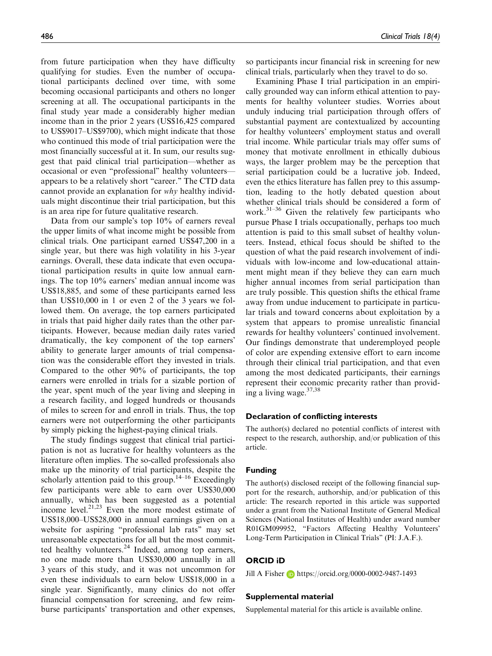from future participation when they have difficulty qualifying for studies. Even the number of occupational participants declined over time, with some becoming occasional participants and others no longer screening at all. The occupational participants in the final study year made a considerably higher median income than in the prior 2 years (US\$16,425 compared to US\$9017–US\$9700), which might indicate that those who continued this mode of trial participation were the most financially successful at it. In sum, our results suggest that paid clinical trial participation—whether as occasional or even ''professional'' healthy volunteers appears to be a relatively short ''career.'' The CTD data cannot provide an explanation for why healthy individuals might discontinue their trial participation, but this is an area ripe for future qualitative research.

Data from our sample's top 10% of earners reveal the upper limits of what income might be possible from clinical trials. One participant earned US\$47,200 in a single year, but there was high volatility in his 3-year earnings. Overall, these data indicate that even occupational participation results in quite low annual earnings. The top 10% earners' median annual income was US\$18,885, and some of these participants earned less than US\$10,000 in 1 or even 2 of the 3 years we followed them. On average, the top earners participated in trials that paid higher daily rates than the other participants. However, because median daily rates varied dramatically, the key component of the top earners' ability to generate larger amounts of trial compensation was the considerable effort they invested in trials. Compared to the other 90% of participants, the top earners were enrolled in trials for a sizable portion of the year, spent much of the year living and sleeping in a research facility, and logged hundreds or thousands of miles to screen for and enroll in trials. Thus, the top earners were not outperforming the other participants by simply picking the highest-paying clinical trials.

The study findings suggest that clinical trial participation is not as lucrative for healthy volunteers as the literature often implies. The so-called professionals also make up the minority of trial participants, despite the scholarly attention paid to this group.<sup>14–16</sup> Exceedingly few participants were able to earn over US\$30,000 annually, which has been suggested as a potential income level.<sup>21,23</sup> Even the more modest estimate of US\$18,000–US\$28,000 in annual earnings given on a website for aspiring ''professional lab rats'' may set unreasonable expectations for all but the most committed healthy volunteers. $24$  Indeed, among top earners, no one made more than US\$30,000 annually in all 3 years of this study, and it was not uncommon for even these individuals to earn below US\$18,000 in a single year. Significantly, many clinics do not offer financial compensation for screening, and few reimburse participants' transportation and other expenses, so participants incur financial risk in screening for new clinical trials, particularly when they travel to do so.

Examining Phase I trial participation in an empirically grounded way can inform ethical attention to payments for healthy volunteer studies. Worries about unduly inducing trial participation through offers of substantial payment are contextualized by accounting for healthy volunteers' employment status and overall trial income. While particular trials may offer sums of money that motivate enrollment in ethically dubious ways, the larger problem may be the perception that serial participation could be a lucrative job. Indeed, even the ethics literature has fallen prey to this assumption, leading to the hotly debated question about whether clinical trials should be considered a form of work. $31-36$  Given the relatively few participants who pursue Phase I trials occupationally, perhaps too much attention is paid to this small subset of healthy volunteers. Instead, ethical focus should be shifted to the question of what the paid research involvement of individuals with low-income and low-educational attainment might mean if they believe they can earn much higher annual incomes from serial participation than are truly possible. This question shifts the ethical frame away from undue inducement to participate in particular trials and toward concerns about exploitation by a system that appears to promise unrealistic financial rewards for healthy volunteers' continued involvement. Our findings demonstrate that underemployed people of color are expending extensive effort to earn income through their clinical trial participation, and that even among the most dedicated participants, their earnings represent their economic precarity rather than providing a living wage. $37,38$ 

#### Declaration of conflicting interests

The author(s) declared no potential conflicts of interest with respect to the research, authorship, and/or publication of this article.

#### Funding

The author(s) disclosed receipt of the following financial support for the research, authorship, and/or publication of this article: The research reported in this article was supported under a grant from the National Institute of General Medical Sciences (National Institutes of Health) under award number R01GM099952, ''Factors Affecting Healthy Volunteers' Long-Term Participation in Clinical Trials'' (PI: J.A.F.).

#### ORCID iD

Jill A Fisher **b** <https://orcid.org/0000-0002-9487-1493>

#### Supplemental material

Supplemental material for this article is available online.